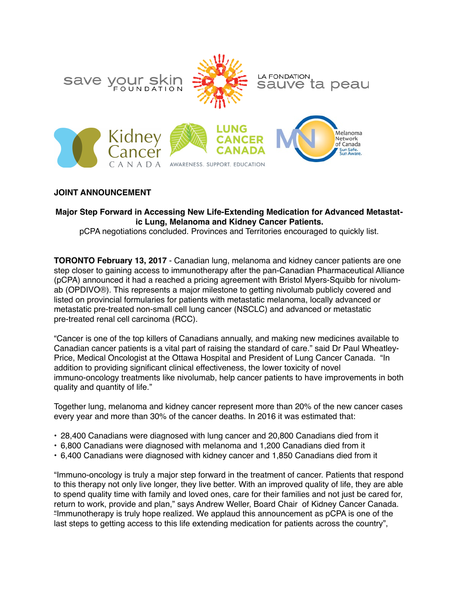

# **JOINT ANNOUNCEMENT**

### **Major Step Forward in Accessing New Life-Extending Medication for Advanced Metastatic Lung, Melanoma and Kidney Cancer Patients.**

pCPA negotiations concluded. Provinces and Territories encouraged to quickly list.

**TORONTO February 13, 2017** - Canadian lung, melanoma and kidney cancer patients are one step closer to gaining access to immunotherapy after the pan-Canadian Pharmaceutical Alliance (pCPA) announced it had a reached a pricing agreement with Bristol Myers-Squibb for nivolumab (OPDIVO®). This represents a major milestone to getting nivolumab publicly covered and listed on provincial formularies for patients with metastatic melanoma, locally advanced or metastatic pre-treated non-small cell lung cancer (NSCLC) and advanced or metastatic pre-treated renal cell carcinoma (RCC).

"Cancer is one of the top killers of Canadians annually, and making new medicines available to Canadian cancer patients is a vital part of raising the standard of care." said Dr Paul Wheatley-Price, Medical Oncologist at the Ottawa Hospital and President of Lung Cancer Canada. "In addition to providing significant clinical effectiveness, the lower toxicity of novel immuno-oncology treatments like nivolumab, help cancer patients to have improvements in both quality and quantity of life."

Together lung, melanoma and kidney cancer represent more than 20% of the new cancer cases every year and more than 30% of the cancer deaths. In 2016 it was estimated that:

- 28,400 Canadians were diagnosed with lung cancer and 20,800 Canadians died from it
- 6,800 Canadians were diagnosed with melanoma and 1,200 Canadians died from it
- 6,400 Canadians were diagnosed with kidney cancer and 1,850 Canadians died from it

"Immuno-oncology is truly a major step forward in the treatment of cancer. Patients that respond to this therapy not only live longer, they live better. With an improved quality of life, they are able to spend quality time with family and loved ones, care for their families and not just be cared for, return to work, provide and plan," says Andrew Weller, Board Chair of Kidney Cancer Canada. "Immunotherapy is truly hope realized. We applaud this announcement as pCPA is one of the last steps to getting access to this life extending medication for patients across the country",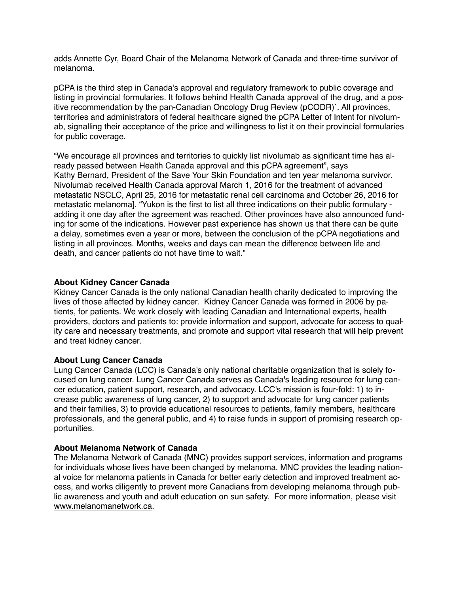adds Annette Cyr, Board Chair of the Melanoma Network of Canada and three-time survivor of melanoma.

pCPA is the third step in Canada's approval and regulatory framework to public coverage and listing in provincial formularies. It follows behind Health Canada approval of the drug, and a positive recommendation by the pan-Canadian Oncology Drug Review (pCODR)`. All provinces, territories and administrators of federal healthcare signed the pCPA Letter of Intent for nivolumab, signalling their acceptance of the price and willingness to list it on their provincial formularies for public coverage.

"We encourage all provinces and territories to quickly list nivolumab as significant time has already passed between Health Canada approval and this pCPA agreement", says Kathy Bernard, President of the Save Your Skin Foundation and ten year melanoma survivor. Nivolumab received Health Canada approval March 1, 2016 for the treatment of advanced metastatic NSCLC, April 25, 2016 for metastatic renal cell carcinoma and October 26, 2016 for metastatic melanoma]. "Yukon is the first to list all three indications on their public formulary adding it one day after the agreement was reached. Other provinces have also announced funding for some of the indications. However past experience has shown us that there can be quite a delay, sometimes even a year or more, between the conclusion of the pCPA negotiations and listing in all provinces. Months, weeks and days can mean the difference between life and death, and cancer patients do not have time to wait."

# **About Kidney Cancer Canada**

Kidney Cancer Canada is the only national Canadian health charity dedicated to improving the lives of those affected by kidney cancer. Kidney Cancer Canada was formed in 2006 by patients, for patients. We work closely with leading Canadian and International experts, health providers, doctors and patients to: provide information and support, advocate for access to quality care and necessary treatments, and promote and support vital research that will help prevent and treat kidney cancer.

#### **About Lung Cancer Canada**

Lung Cancer Canada (LCC) is Canada's only national charitable organization that is solely focused on lung cancer. Lung Cancer Canada serves as Canada's leading resource for lung cancer education, patient support, research, and advocacy. LCC's mission is four-fold: 1) to increase public awareness of lung cancer, 2) to support and advocate for lung cancer patients and their families, 3) to provide educational resources to patients, family members, healthcare professionals, and the general public, and 4) to raise funds in support of promising research opportunities.

#### **About Melanoma Network of Canada**

The Melanoma Network of Canada (MNC) provides support services, information and programs for individuals whose lives have been changed by melanoma. MNC provides the leading national voice for melanoma patients in Canada for better early detection and improved treatment access, and works diligently to prevent more Canadians from developing melanoma through public awareness and youth and adult education on sun safety. For more information, please visit [www.melanomanetwork.ca.](http://www.melanomanetwork.ca)